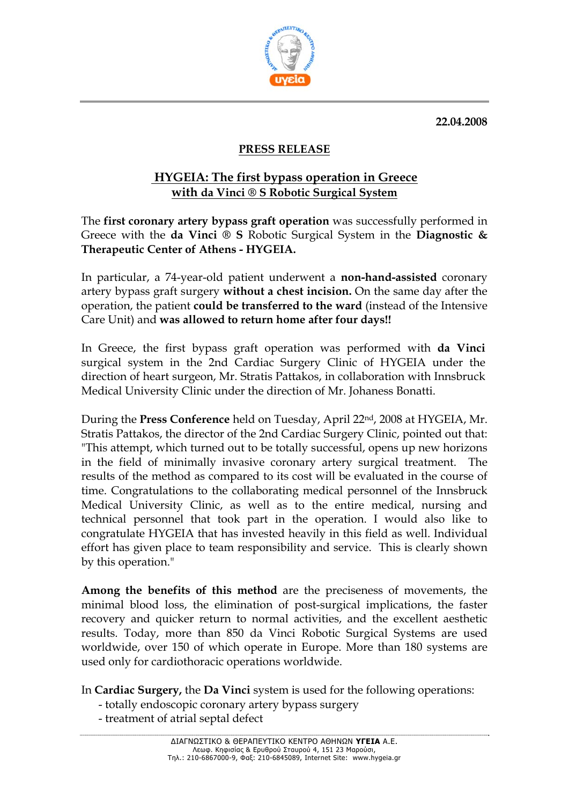**22.04.2008** 



## **PRESS RELEASE**

## **HYGEIA: The first bypass operation in Greece with da Vinci ® S Robotic Surgical System**

The **first coronary artery bypass graft operation** was successfully performed in Greece with the **da Vinci ® S** Robotic Surgical System in the **Diagnostic & Therapeutic Center of Athens - HYGEIA.**

In particular, a 74-year-old patient underwent a **non-hand-assisted** coronary artery bypass graft surgery **without a chest incision.** On the same day after the operation, the patient **could be transferred to the ward** (instead of the Intensive Care Unit) and **was allowed to return home after four days!!** 

In Greece, the first bypass graft operation was performed with **da Vinci** surgical system in the 2nd Cardiac Surgery Clinic of HYGEIA under the direction of heart surgeon, Mr. Stratis Pattakos, in collaboration with Innsbruck Medical University Clinic under the direction of Mr. Johaness Bonatti.

During the **Press Conference** held on Tuesday, April 22nd, 2008 at HYGEIA, Mr. Stratis Pattakos, the director of the 2nd Cardiac Surgery Clinic, pointed out that: "This attempt, which turned out to be totally successful, opens up new horizons in the field of minimally invasive coronary artery surgical treatment. The results of the method as compared to its cost will be evaluated in the course of time. Congratulations to the collaborating medical personnel of the Innsbruck Medical University Clinic, as well as to the entire medical, nursing and technical personnel that took part in the operation. I would also like to congratulate HYGEIA that has invested heavily in this field as well. Individual effort has given place to team responsibility and service. This is clearly shown by this operation."

**Among the benefits of this method** are the preciseness of movements, the minimal blood loss, the elimination of post-surgical implications, the faster recovery and quicker return to normal activities, and the excellent aesthetic results. Today, more than 850 da Vinci Robotic Surgical Systems are used worldwide, over 150 of which operate in Europe. More than 180 systems are used only for cardiothoracic operations worldwide.

In **Cardiac Surgery,** the **Da Vinci** system is used for the following operations:

- totally endoscopic coronary artery bypass surgery
- treatment of atrial septal defect